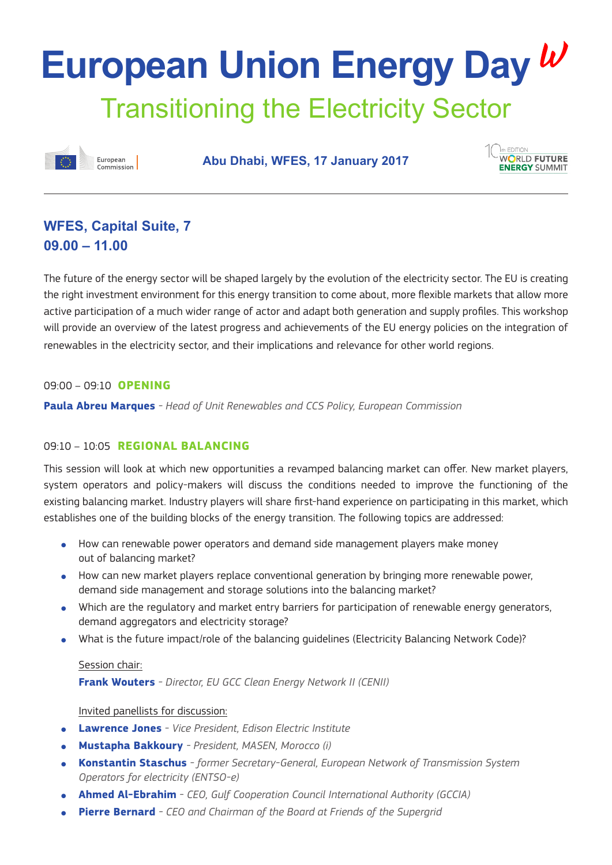# Transitioning the Electricity Sector **European Union Energy Day**



**Abu Dhabi, WFES, 17 January 2017**



### **WFES, Capital Suite, 7 09.00 – 11.00**

The future of the energy sector will be shaped largely by the evolution of the electricity sector. The EU is creating the right investment environment for this energy transition to come about, more flexible markets that allow more active participation of a much wider range of actor and adapt both generation and supply profiles. This workshop will provide an overview of the latest progress and achievements of the EU energy policies on the integration of renewables in the electricity sector, and their implications and relevance for other world regions.

#### 09:00 – 09:10 **OPENING**

**Paula Abreu Marques** *- Head of Unit Renewables and CCS Policy, European Commission*

#### 09:10 – 10:05 **REGIONAL BALANCING**

This session will look at which new opportunities a revamped balancing market can offer. New market players, system operators and policy-makers will discuss the conditions needed to improve the functioning of the existing balancing market. Industry players will share first-hand experience on participating in this market, which establishes one of the building blocks of the energy transition. The following topics are addressed:

- How can renewable power operators and demand side management players make money out of balancing market?
- How can new market players replace conventional generation by bringing more renewable power, demand side management and storage solutions into the balancing market?
- Which are the regulatory and market entry barriers for participation of renewable energy generators, demand aggregators and electricity storage?
- What is the future impact/role of the balancing quidelines (Electricity Balancing Network Code)?

#### Session chair:

**Frank Wouters** *- Director, EU GCC Clean Energy Network II (CENII)* 

#### Invited panellists for discussion:

- **Lawrence Jones** *Vice President, Edison Electric Institute*
- **Mustapha Bakkoury**  *President, MASEN, Morocco (i)*
- **Konstantin Staschus** *former Secretary-General, European Network of Transmission System Operators for electricity (ENTSO-e)*
- **Ahmed Al-Ebrahim** *CEO, Gulf Cooperation Council International Authority (GCCIA)*
- **Pierre Bernard** CEO and Chairman of the Board at Friends of the Supergrid